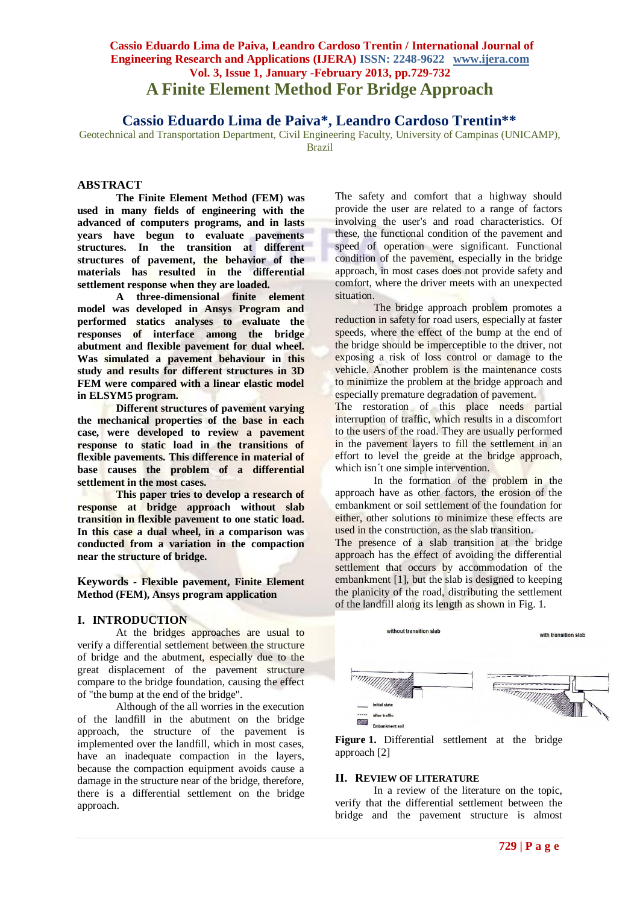# **Cassio Eduardo Lima de Paiva, Leandro Cardoso Trentin / International Journal of Engineering Research and Applications (IJERA) ISSN: 2248-9622 www.ijera.com Vol. 3, Issue 1, January -February 2013, pp.729-732 A Finite Element Method For Bridge Approach**

**Cassio Eduardo Lima de Paiva\*, Leandro Cardoso Trentin\*\***

Geotechnical and Transportation Department, Civil Engineering Faculty, University of Campinas (UNICAMP), Brazil

# **ABSTRACT**

**The Finite Element Method (FEM) was used in many fields of engineering with the advanced of computers programs, and in lasts years have begun to evaluate pavements structures. In the transition at different structures of pavement, the behavior of the materials has resulted in the differential settlement response when they are loaded.**

**A three-dimensional finite element model was developed in Ansys Program and performed statics analyses to evaluate the responses of interface among the bridge abutment and flexible pavement for dual wheel. Was simulated a pavement behaviour in this study and results for different structures in 3D FEM were compared with a linear elastic model in ELSYM5 program.**

**Different structures of pavement varying the mechanical properties of the base in each case, were developed to review a pavement response to static load in the transitions of flexible pavements. This difference in material of base causes the problem of a differential settlement in the most cases.**

**This paper tries to develop a research of response at bridge approach without slab transition in flexible pavement to one static load. In this case a dual wheel, in a comparison was conducted from a variation in the compaction near the structure of bridge.**

**Keywords - Flexible pavement, Finite Element Method (FEM), Ansys program application**

### **I. INTRODUCTION**

At the bridges approaches are usual to verify a differential settlement between the structure of bridge and the abutment, especially due to the great displacement of the pavement structure compare to the bridge foundation, causing the effect of "the bump at the end of the bridge".

Although of the all worries in the execution of the landfill in the abutment on the bridge approach, the structure of the pavement is implemented over the landfill, which in most cases, have an inadequate compaction in the layers, because the compaction equipment avoids cause a damage in the structure near of the bridge, therefore, there is a differential settlement on the bridge approach.

The safety and comfort that a highway should provide the user are related to a range of factors involving the user's and road characteristics. Of these, the functional condition of the pavement and speed of operation were significant. Functional condition of the pavement, especially in the bridge approach, in most cases does not provide safety and comfort, where the driver meets with an unexpected situation.

The bridge approach problem promotes a reduction in safety for road users, especially at faster speeds, where the effect of the bump at the end of the bridge should be imperceptible to the driver, not exposing a risk of loss control or damage to the vehicle. Another problem is the maintenance costs to minimize the problem at the bridge approach and especially premature degradation of pavement.

The restoration of this place needs partial interruption of traffic, which results in a discomfort to the users of the road. They are usually performed in the pavement layers to fill the settlement in an effort to level the greide at the bridge approach, which isn't one simple intervention.

In the formation of the problem in the approach have as other factors, the erosion of the embankment or soil settlement of the foundation for either, other solutions to minimize these effects are used in the construction, as the slab transition. The presence of a slab transition at the bridge approach has the effect of avoiding the differential settlement that occurs by accommodation of the embankment [1], but the slab is designed to keeping the planicity of the road, distributing the settlement of the landfill along its length as shown in Fig. 1.





#### **II. REVIEW OF LITERATURE**

In a review of the literature on the topic, verify that the differential settlement between the bridge and the pavement structure is almost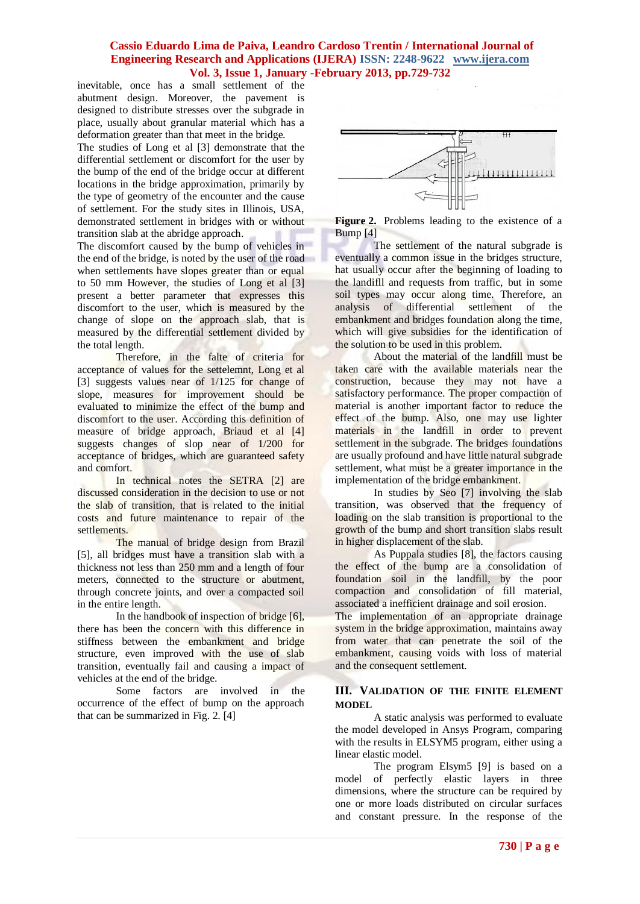### **Cassio Eduardo Lima de Paiva, Leandro Cardoso Trentin / International Journal of Engineering Research and Applications (IJERA) ISSN: 2248-9622 www.ijera.com Vol. 3, Issue 1, January -February 2013, pp.729-732**

inevitable, once has a small settlement of the abutment design. Moreover, the pavement is designed to distribute stresses over the subgrade in place, usually about granular material which has a deformation greater than that meet in the bridge.

The studies of Long et al [3] demonstrate that the differential settlement or discomfort for the user by the bump of the end of the bridge occur at different locations in the bridge approximation, primarily by the type of geometry of the encounter and the cause of settlement. For the study sites in Illinois, USA, demonstrated settlement in bridges with or without transition slab at the abridge approach.

The discomfort caused by the bump of vehicles in the end of the bridge, is noted by the user of the road when settlements have slopes greater than or equal to 50 mm However, the studies of Long et al [3] present a better parameter that expresses this discomfort to the user, which is measured by the change of slope on the approach slab, that is measured by the differential settlement divided by the total length.

Therefore, in the falte of criteria for acceptance of values for the settelemnt, Long et al [3] suggests values near of 1/125 for change of slope, measures for improvement should be evaluated to minimize the effect of the bump and discomfort to the user. According this definition of measure of bridge approach, Briaud et al [4] suggests changes of slop near of 1/200 for acceptance of bridges, which are guaranteed safety and comfort.

In technical notes the SETRA [2] are discussed consideration in the decision to use or not the slab of transition, that is related to the initial costs and future maintenance to repair of the settlements.

The manual of bridge design from Brazil [5], all bridges must have a transition slab with a thickness not less than 250 mm and a length of four meters, connected to the structure or abutment, through concrete joints, and over a compacted soil in the entire length.

In the handbook of inspection of bridge [6], there has been the concern with this difference in stiffness between the embankment and bridge structure, even improved with the use of slab transition, eventually fail and causing a impact of vehicles at the end of the bridge.

Some factors are involved in the occurrence of the effect of bump on the approach that can be summarized in Fig. 2. [4]



**Figure 2.** Problems leading to the existence of a Bump [4]

The settlement of the natural subgrade is eventually a common issue in the bridges structure, hat usually occur after the beginning of loading to the landifll and requests from traffic, but in some soil types may occur along time. Therefore, an analysis of differential settlement of the embankment and bridges foundation along the time, which will give subsidies for the identification of the solution to be used in this problem.

About the material of the landfill must be taken care with the available materials near the construction, because they may not have a satisfactory performance. The proper compaction of material is another important factor to reduce the effect of the bump. Also, one may use lighter materials in the landfill in order to prevent settlement in the subgrade. The bridges foundations are usually profound and have little natural subgrade settlement, what must be a greater importance in the implementation of the bridge embankment.

In studies by Seo [7] involving the slab transition, was observed that the frequency of loading on the slab transition is proportional to the growth of the bump and short transition slabs result in higher displacement of the slab.

As Puppala studies [8], the factors causing the effect of the bump are a consolidation of foundation soil in the landfill, by the poor compaction and consolidation of fill material, associated a inefficient drainage and soil erosion.

The implementation of an appropriate drainage system in the bridge approximation, maintains away from water that can penetrate the soil of the embankment, causing voids with loss of material and the consequent settlement.

#### **III. VALIDATION OF THE FINITE ELEMENT MODEL**

A static analysis was performed to evaluate the model developed in Ansys Program, comparing with the results in ELSYM5 program, either using a linear elastic model.

The program Elsym5 [9] is based on a model of perfectly elastic layers in three dimensions, where the structure can be required by one or more loads distributed on circular surfaces and constant pressure. In the response of the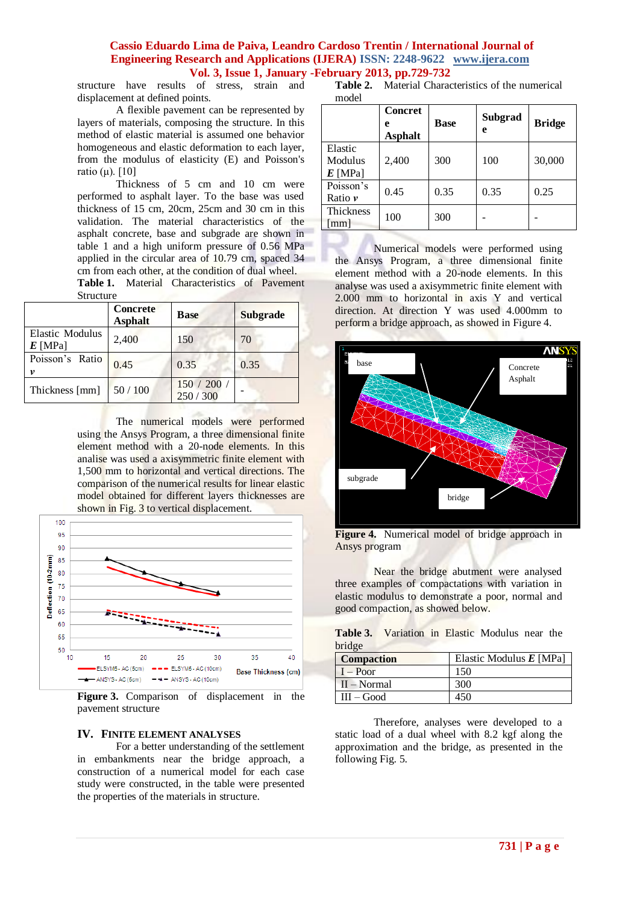### **Cassio Eduardo Lima de Paiva, Leandro Cardoso Trentin / International Journal of Engineering Research and Applications (IJERA) ISSN: 2248-9622 www.ijera.com Vol. 3, Issue 1, January -February 2013, pp.729-732**

structure have results of stress, strain and displacement at defined points.

A flexible pavement can be represented by layers of materials, composing the structure. In this method of elastic material is assumed one behavior homogeneous and elastic deformation to each layer, from the modulus of elasticity (E) and Poisson's ratio (μ).  $[10]$ 

Thickness of 5 cm and 10 cm were performed to asphalt layer. To the base was used thickness of 15 cm, 20cm, 25cm and 30 cm in this validation. The material characteristics of the asphalt concrete, base and subgrade are shown in table 1 and a high uniform pressure of 0.56 MPa applied in the circular area of 10.79 cm, spaced 34 cm from each other, at the condition of dual wheel.

**Table 1.** Material Characteristics of Pavement Structure

|                              | <b>Concrete</b><br><b>Asphalt</b> | <b>Base</b>          | <b>Subgrade</b> |
|------------------------------|-----------------------------------|----------------------|-----------------|
| Elastic Modulus<br>$E$ [MPa] | 2,400                             | 150                  | 70              |
| Poisson's Ratio<br>v         | 0.45                              | 0.35                 | 0.35            |
| Thickness [mm]               | 50/100                            | 150 / 200<br>250/300 |                 |

The numerical models were performed using the Ansys Program, a three dimensional finite element method with a 20-node elements. In this analise was used a axisymmetric finite element with 1,500 mm to horizontal and vertical directions. The comparison of the numerical results for linear elastic model obtained for different layers thicknesses are shown in Fig. 3 to vertical displacement.



**Figure 3.** Comparison of displacement in the pavement structure

### **IV. FINITE ELEMENT ANALYSES**

For a better understanding of the settlement in embankments near the bridge approach, a construction of a numerical model for each case study were constructed, in the table were presented the properties of the materials in structure.

**Table 2.** Material Characteristics of the numerical model

|                                   | <b>Concret</b><br>e<br><b>Asphalt</b> | <b>Base</b> | Subgrad<br>e | <b>Bridge</b> |
|-----------------------------------|---------------------------------------|-------------|--------------|---------------|
| Elastic<br>Modulus<br>$E$ [MPa]   | 2,400                                 | 300         | 100          | 30,000        |
| Poisson's<br>Ratio $\nu$          | 0.45                                  | 0.35        | 0.35         | 0.25          |
| Thickness<br>$\lceil$ mm $\rceil$ | 100                                   | 300         |              |               |

Numerical models were performed using the Ansys Program, a three dimensional finite element method with a 20-node elements. In this analyse was used a axisymmetric finite element with 2.000 mm to horizontal in axis Y and vertical direction. At direction Y was used 4.000mm to perform a bridge approach, as showed in Figure 4.



**Figure 4.** Numerical model of bridge approach in Ansys program

Near the bridge abutment were analysed three examples of compactations with variation in elastic modulus to demonstrate a poor, normal and good compaction, as showed below.

|        | <b>Table 3.</b> Variation in Elastic Modulus near the |  |  |  |
|--------|-------------------------------------------------------|--|--|--|
| bridge |                                                       |  |  |  |

| <b>Compaction</b> | Elastic Modulus $E$ [MPa] |
|-------------------|---------------------------|
| $I - Poor$        | 150                       |
| $II - Normal$     | 300                       |
| $III - Good$      | 450                       |

Therefore, analyses were developed to a static load of a dual wheel with 8.2 kgf along the approximation and the bridge, as presented in the following Fig. 5.